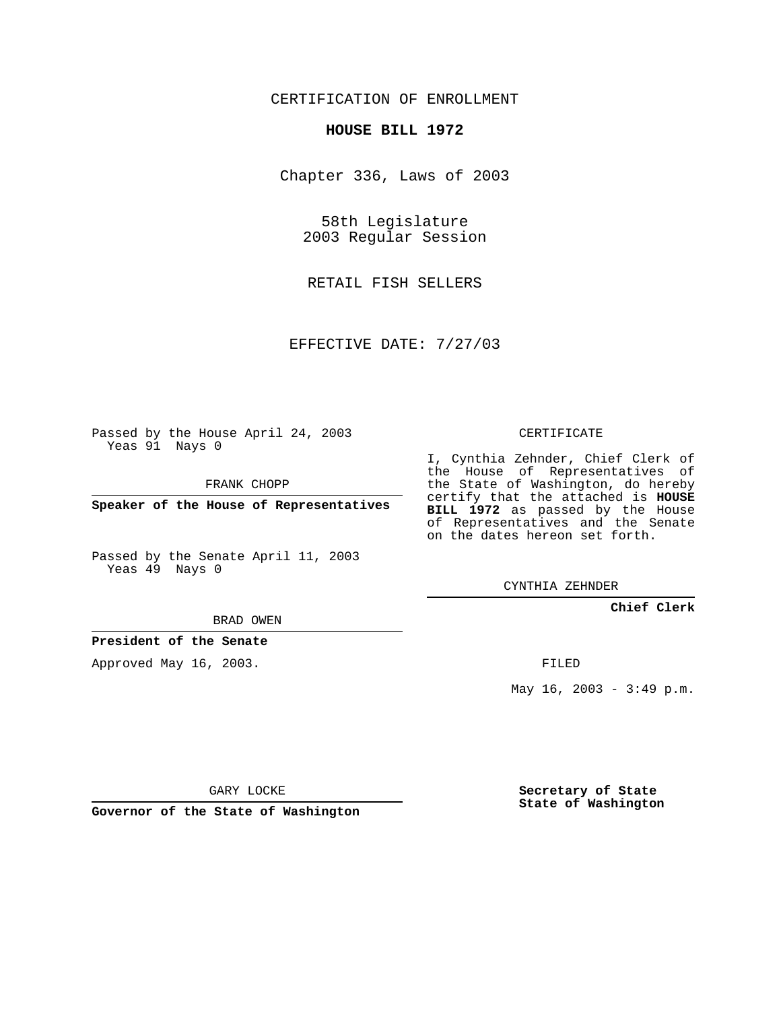## CERTIFICATION OF ENROLLMENT

## **HOUSE BILL 1972**

Chapter 336, Laws of 2003

58th Legislature 2003 Regular Session

RETAIL FISH SELLERS

EFFECTIVE DATE: 7/27/03

Passed by the House April 24, 2003 Yeas 91 Nays 0

FRANK CHOPP

**Speaker of the House of Representatives**

Passed by the Senate April 11, 2003 Yeas 49 Nays 0

BRAD OWEN

**President of the Senate**

Approved May 16, 2003.

CERTIFICATE

I, Cynthia Zehnder, Chief Clerk of the House of Representatives of the State of Washington, do hereby certify that the attached is **HOUSE BILL 1972** as passed by the House of Representatives and the Senate on the dates hereon set forth.

CYNTHIA ZEHNDER

**Chief Clerk**

FILED

May 16, 2003 - 3:49 p.m.

GARY LOCKE

**Governor of the State of Washington**

**Secretary of State State of Washington**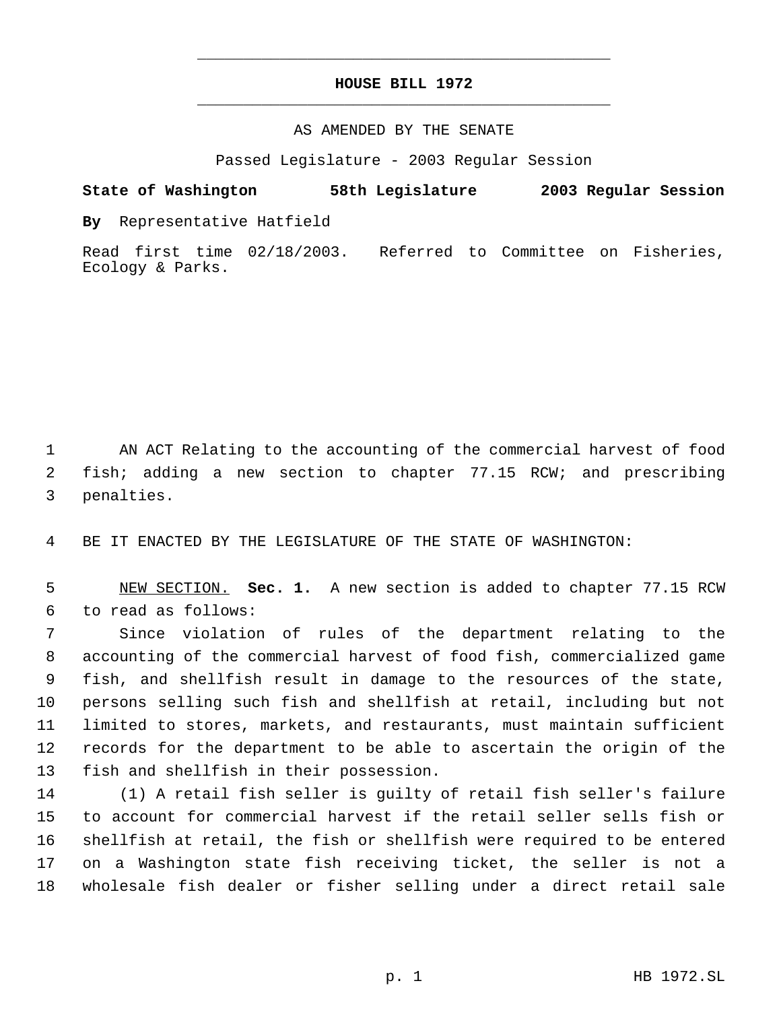## **HOUSE BILL 1972** \_\_\_\_\_\_\_\_\_\_\_\_\_\_\_\_\_\_\_\_\_\_\_\_\_\_\_\_\_\_\_\_\_\_\_\_\_\_\_\_\_\_\_\_\_

\_\_\_\_\_\_\_\_\_\_\_\_\_\_\_\_\_\_\_\_\_\_\_\_\_\_\_\_\_\_\_\_\_\_\_\_\_\_\_\_\_\_\_\_\_

## AS AMENDED BY THE SENATE

Passed Legislature - 2003 Regular Session

**State of Washington 58th Legislature 2003 Regular Session**

**By** Representative Hatfield

Read first time 02/18/2003. Referred to Committee on Fisheries, Ecology & Parks.

 AN ACT Relating to the accounting of the commercial harvest of food fish; adding a new section to chapter 77.15 RCW; and prescribing penalties.

BE IT ENACTED BY THE LEGISLATURE OF THE STATE OF WASHINGTON:

 NEW SECTION. **Sec. 1.** A new section is added to chapter 77.15 RCW to read as follows:

 Since violation of rules of the department relating to the accounting of the commercial harvest of food fish, commercialized game fish, and shellfish result in damage to the resources of the state, persons selling such fish and shellfish at retail, including but not limited to stores, markets, and restaurants, must maintain sufficient records for the department to be able to ascertain the origin of the fish and shellfish in their possession.

 (1) A retail fish seller is guilty of retail fish seller's failure to account for commercial harvest if the retail seller sells fish or shellfish at retail, the fish or shellfish were required to be entered on a Washington state fish receiving ticket, the seller is not a wholesale fish dealer or fisher selling under a direct retail sale